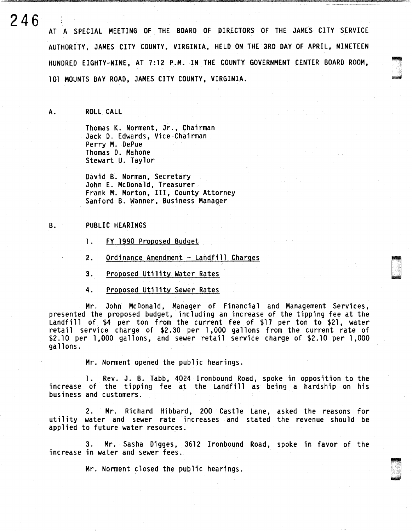**246**  AT A SPECIAL MEETING OF THE BOARD OF DIRECTORS OF THE JAMES CITY SERVICE AUTHORITY, JAMES CITY COUNTY, VIRGINIA, HELD ON THE 3RD DAY OF APRIL, NINETEEN HUNDRED EIGHTY-NINE, AT 7:12 P.M. IN THE COUNTY GOVERNMENT CENTER BOARD ROOM, 101 MOUNTS BAY ROAD, JAMES CITY COUNTY, VIRGINIA.

A. ROLL CALL

Thomas K. Norment, Jr., Chairman Jack D. Edwards, Vice-Chairman Perry M. DePue Thomas D. Mahone Stewart U. Taylor

David B. Norman, Secretary John E. McDonald, Treasurer Frank M. Morton, III, County Attorney Sanford B. Wanner, Business Manager

## B. PUBLIC HEARINGS

1. FY 1990 Proposed Budget

- 2. Ordinance Amendment Landfill Charges
- 3. Proposed Utility Water Rates
- 4. Proposed Utility Sewer Rates

Mr. John McDonald, Manager of Financial and Management Services, presented the proposed budget, including an increase of the tipping fee at the Landfill of \$4 per ton from the current fee of \$17 per ton to \$21, water retail service charge of \$2.30 per 1 ,000 gallons from the current rate of \$2.10 per 1,000 gallons, and sewer retail service charge of \$2.10 per 1,000 gallons.

Mr. Norment opened the public hearings.

1. Rev. J. B. Tabb, 4024 Ironbound Road, spoke in opposition to the increase of the tipping fee at the Landfill as being a hardship on his business and customers.

2. Mr. Richard Hibbard, 200 Castle Lane, asked the reasons for utility water and sewer rate increases and stated the revenue should be applied to future water resources.

3. Mr. Sasha Digges. 3612 I ronbound Road. spoke in favor of the increase in water and sewer fees.

Mr. Norment closed the public hearings.

company of the company of the company of the company of the company of the company of the company of the company of the company of the company of the company of the company of the company of the company of the company of t

D ' ʻ.